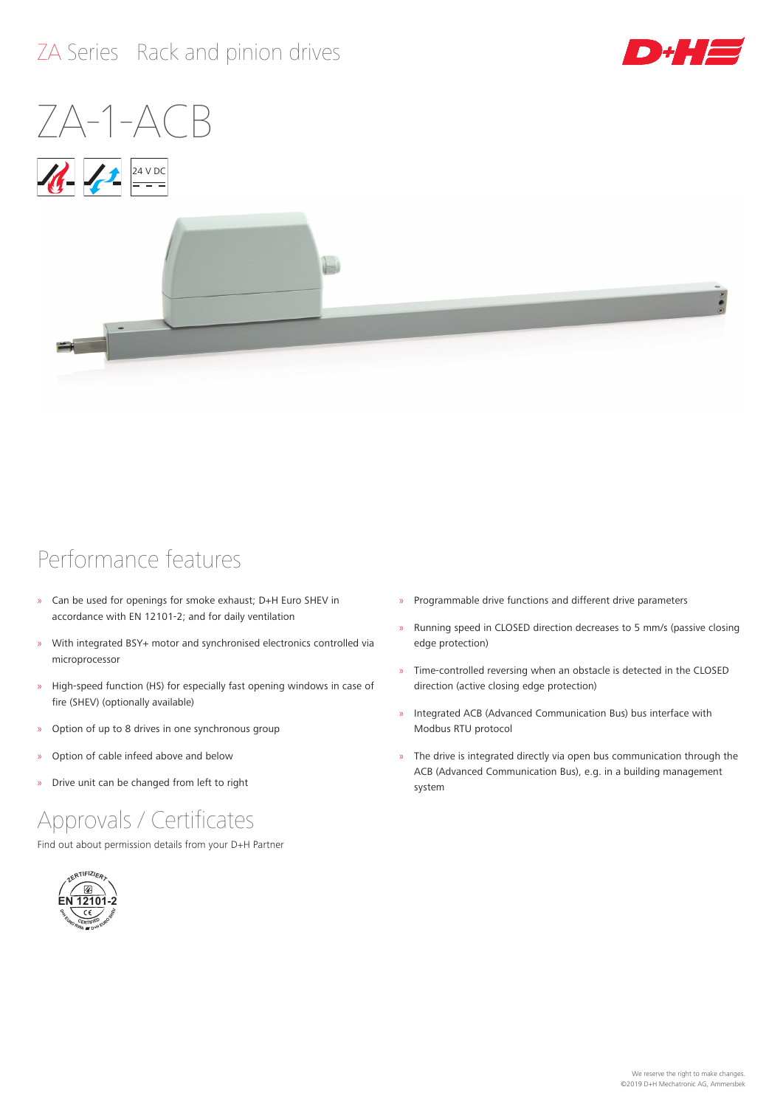## ZA Series Rack and pinion drives



# $7A-1-AC$





### Performance features

- » Can be used for openings for smoke exhaust; D+H Euro SHEV in accordance with EN 12101‑2; and for daily ventilation
- » With integrated BSY+ motor and synchronised electronics controlled via microprocessor
- » High-speed function (HS) for especially fast opening windows in case of fire (SHEV) (optionally available)
- » Option of up to 8 drives in one synchronous group
- » Option of cable infeed above and below
- » Drive unit can be changed from left to right

### Approvals / Certificates

Find out about permission details from your D+H Partner



- » Programmable drive functions and different drive parameters
- » Running speed in CLOSED direction decreases to 5 mm/s (passive closing edge protection)
- » Time-controlled reversing when an obstacle is detected in the CLOSED direction (active closing edge protection)
- » Integrated ACB (Advanced Communication Bus) bus interface with Modbus RTU protocol
- » The drive is integrated directly via open bus communication through the ACB (Advanced Communication Bus), e.g. in a building management system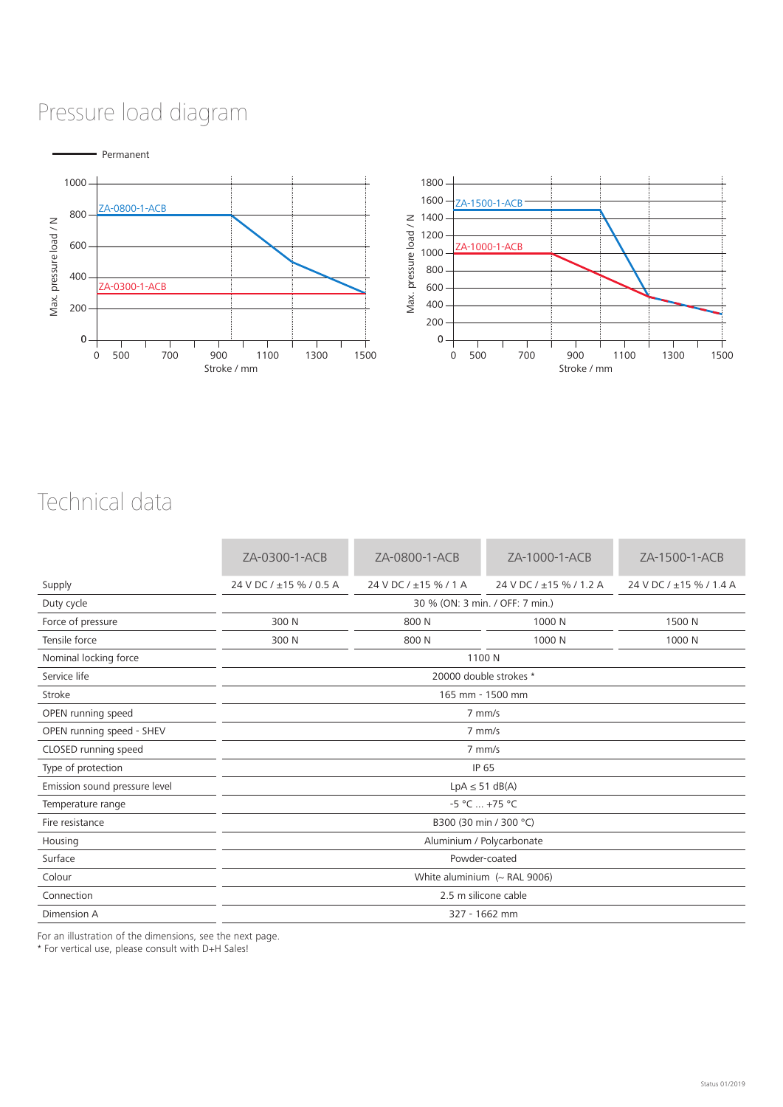## Pressure load diagram



### Technical data

|                               | ZA-0300-1-ACB                       | ZA-0800-1-ACB         | ZA-1000-1-ACB           | ZA-1500-1-ACB           |  |  |  |  |
|-------------------------------|-------------------------------------|-----------------------|-------------------------|-------------------------|--|--|--|--|
| Supply                        | 24 V DC / ±15 % / 0.5 A             | 24 V DC / ±15 % / 1 A | 24 V DC / ±15 % / 1.2 A | 24 V DC / ±15 % / 1.4 A |  |  |  |  |
| Duty cycle                    | 30 % (ON: 3 min. / OFF: 7 min.)     |                       |                         |                         |  |  |  |  |
| Force of pressure             | 300 N                               | 800 N                 | 1000 N                  | 1500 N                  |  |  |  |  |
| Tensile force                 | 300 N                               | 800 N                 | 1000 N                  | 1000 N                  |  |  |  |  |
| Nominal locking force         | 1100 N                              |                       |                         |                         |  |  |  |  |
| Service life                  | 20000 double strokes *              |                       |                         |                         |  |  |  |  |
| Stroke                        | 165 mm - 1500 mm                    |                       |                         |                         |  |  |  |  |
| OPEN running speed            | 7 mm/s                              |                       |                         |                         |  |  |  |  |
| OPEN running speed - SHEV     | $7$ mm/s                            |                       |                         |                         |  |  |  |  |
| CLOSED running speed          | 7 mm/s                              |                       |                         |                         |  |  |  |  |
| Type of protection            | IP 65                               |                       |                         |                         |  |  |  |  |
| Emission sound pressure level | $LpA \leq 51 dB(A)$                 |                       |                         |                         |  |  |  |  |
| Temperature range             | $-5 °C  +75 °C$                     |                       |                         |                         |  |  |  |  |
| Fire resistance               | B300 (30 min / 300 °C)              |                       |                         |                         |  |  |  |  |
| Housing                       | Aluminium / Polycarbonate           |                       |                         |                         |  |  |  |  |
| Surface                       | Powder-coated                       |                       |                         |                         |  |  |  |  |
| Colour                        | White aluminium $({\sim}$ RAL 9006) |                       |                         |                         |  |  |  |  |
| Connection                    | 2.5 m silicone cable                |                       |                         |                         |  |  |  |  |
| Dimension A                   | 327 - 1662 mm                       |                       |                         |                         |  |  |  |  |

For an illustration of the dimensions, see the next page.

\* For vertical use, please consult with D+H Sales!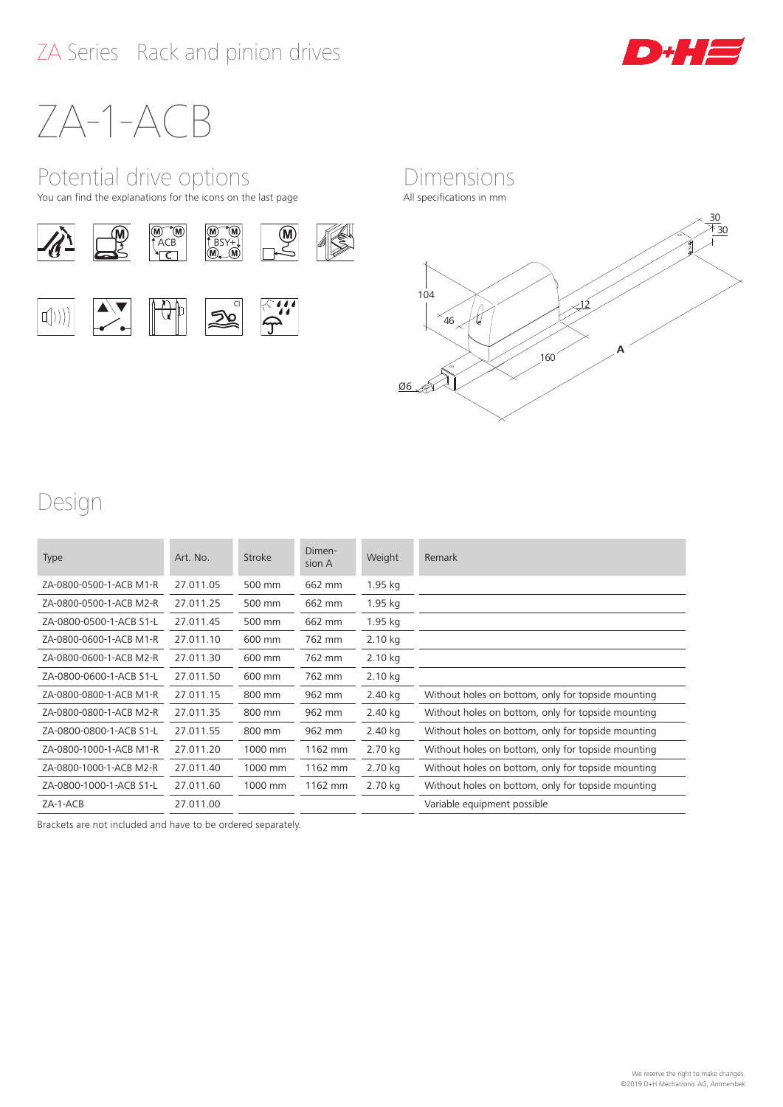

# ZA-1-ACB

### Potential drive options

You can find the explanations for the icons on the last page

















### Design

| Type                    | Art. No.  | Stroke  | Dimen-<br>sion A | Weight    | Remark                                             |
|-------------------------|-----------|---------|------------------|-----------|----------------------------------------------------|
| ZA-0800-0500-1-ACB M1-R | 27.011.05 | 500 mm  | 662 mm           | 1.95 kg   |                                                    |
| ZA-0800-0500-1-ACB M2-R | 27.011.25 | 500 mm  | 662 mm           | 1.95 kg   |                                                    |
| ZA-0800-0500-1-ACB S1-L | 27.011.45 | 500 mm  | 662 mm           | 1.95 kg   |                                                    |
| ZA-0800-0600-1-ACB M1-R | 27.011.10 | 600 mm  | 762 mm           | 2.10 kg   |                                                    |
| ZA-0800-0600-1-ACB M2-R | 27.011.30 | 600 mm  | 762 mm           | $2.10$ kg |                                                    |
| ZA-0800-0600-1-ACB S1-L | 27.011.50 | 600 mm  | 762 mm           | 2.10 kg   |                                                    |
| ZA-0800-0800-1-ACB M1-R | 27.011.15 | 800 mm  | 962 mm           | 2.40 kg   | Without holes on bottom, only for topside mounting |
| ZA-0800-0800-1-ACB M2-R | 27.011.35 | 800 mm  | 962 mm           | 2.40 kg   | Without holes on bottom, only for topside mounting |
| ZA-0800-0800-1-ACB S1-L | 27.011.55 | 800 mm  | 962 mm           | 2.40 kg   | Without holes on bottom, only for topside mounting |
| ZA-0800-1000-1-ACB M1-R | 27.011.20 | 1000 mm | 1162 mm          | 2.70 kg   | Without holes on bottom, only for topside mounting |
| ZA-0800-1000-1-ACB M2-R | 27.011.40 | 1000 mm | 1162 mm          | 2.70 kg   | Without holes on bottom, only for topside mounting |
| ZA-0800-1000-1-ACB S1-L | 27.011.60 | 1000 mm | 1162 mm          | 2.70 kg   | Without holes on bottom, only for topside mounting |
| $ZA-1-ACB$              | 27.011.00 |         |                  |           | Variable equipment possible                        |

Brackets are not included and have to be ordered separately.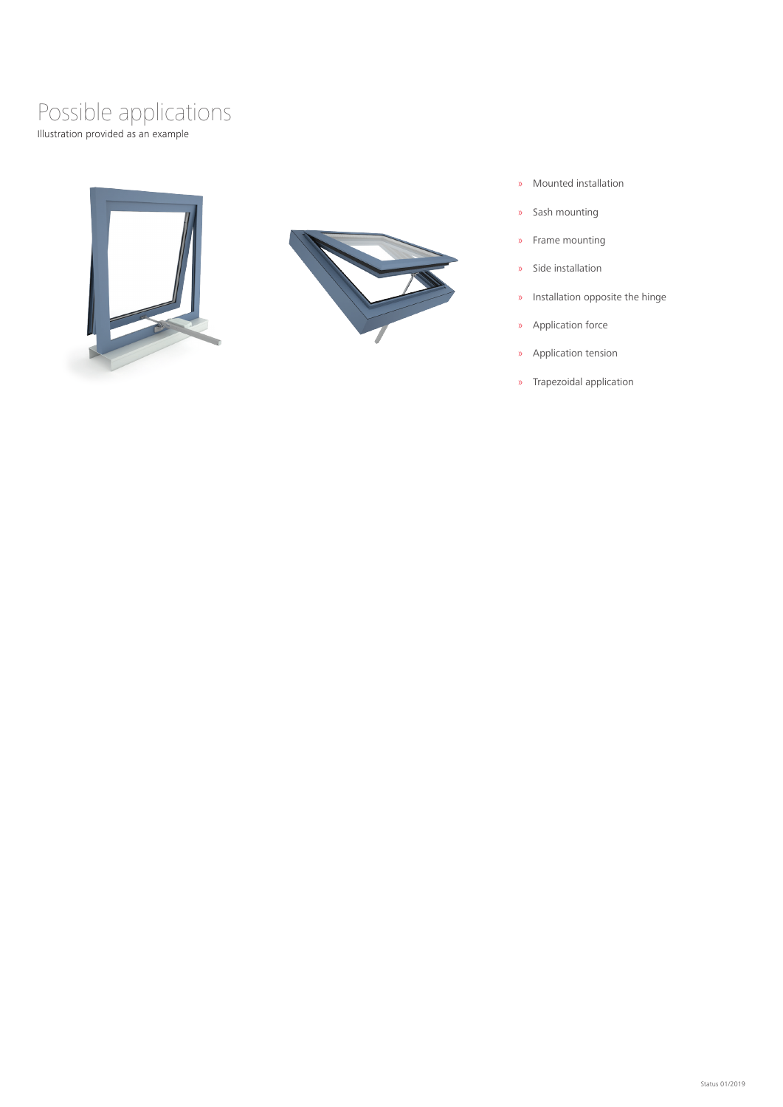### Illustration provided as an example Possible applications





- » Mounted installation
- » Sash mounting
- » Frame mounting
- » Side installation
- » Installation opposite the hinge
- » Application force
- » Application tension
- » Trapezoidal application